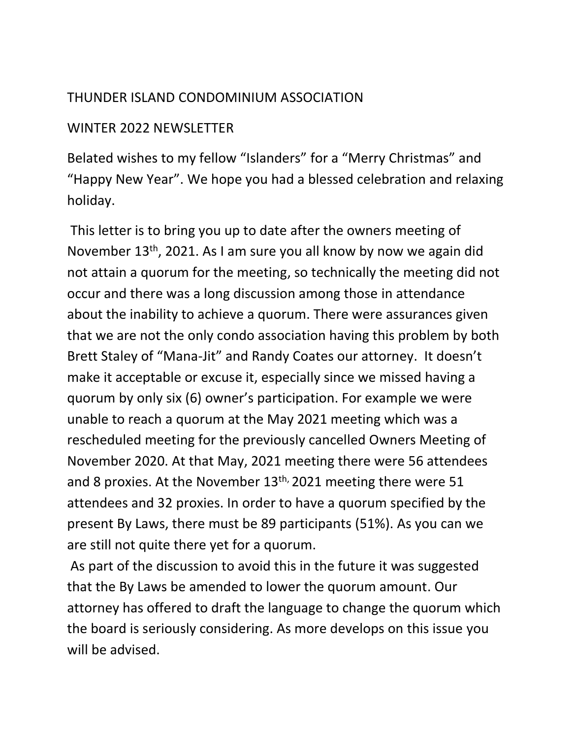## THUNDER ISLAND CONDOMINIUM ASSOCIATION

## WINTER 2022 NEWSLETTER

Belated wishes to my fellow "Islanders" for a "Merry Christmas" and "Happy New Year". We hope you had a blessed celebration and relaxing holiday.

This letter is to bring you up to date after the owners meeting of November 13th, 2021. As I am sure you all know by now we again did not attain a quorum for the meeting, so technically the meeting did not occur and there was a long discussion among those in attendance about the inability to achieve a quorum. There were assurances given that we are not the only condo association having this problem by both Brett Staley of "Mana-Jit" and Randy Coates our attorney. It doesn't make it acceptable or excuse it, especially since we missed having a quorum by only six (6) owner's participation. For example we were unable to reach a quorum at the May 2021 meeting which was a rescheduled meeting for the previously cancelled Owners Meeting of November 2020. At that May, 2021 meeting there were 56 attendees and 8 proxies. At the November 13<sup>th,</sup> 2021 meeting there were 51 attendees and 32 proxies. In order to have a quorum specified by the present By Laws, there must be 89 participants (51%). As you can we are still not quite there yet for a quorum.

As part of the discussion to avoid this in the future it was suggested that the By Laws be amended to lower the quorum amount. Our attorney has offered to draft the language to change the quorum which the board is seriously considering. As more develops on this issue you will be advised.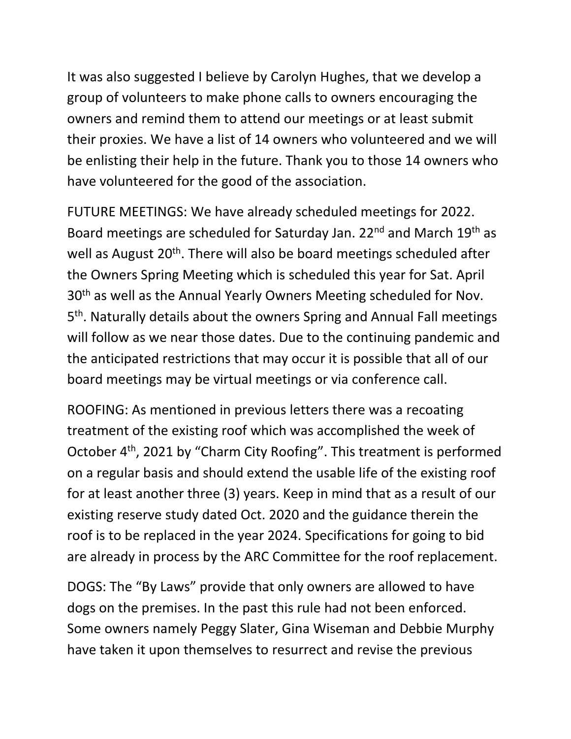It was also suggested I believe by Carolyn Hughes, that we develop a group of volunteers to make phone calls to owners encouraging the owners and remind them to attend our meetings or at least submit their proxies. We have a list of 14 owners who volunteered and we will be enlisting their help in the future. Thank you to those 14 owners who have volunteered for the good of the association.

FUTURE MEETINGS: We have already scheduled meetings for 2022. Board meetings are scheduled for Saturday Jan. 22<sup>nd</sup> and March 19<sup>th</sup> as well as August 20<sup>th</sup>. There will also be board meetings scheduled after the Owners Spring Meeting which is scheduled this year for Sat. April 30<sup>th</sup> as well as the Annual Yearly Owners Meeting scheduled for Nov. 5<sup>th</sup>. Naturally details about the owners Spring and Annual Fall meetings will follow as we near those dates. Due to the continuing pandemic and the anticipated restrictions that may occur it is possible that all of our board meetings may be virtual meetings or via conference call.

ROOFING: As mentioned in previous letters there was a recoating treatment of the existing roof which was accomplished the week of October 4th, 2021 by "Charm City Roofing". This treatment is performed on a regular basis and should extend the usable life of the existing roof for at least another three (3) years. Keep in mind that as a result of our existing reserve study dated Oct. 2020 and the guidance therein the roof is to be replaced in the year 2024. Specifications for going to bid are already in process by the ARC Committee for the roof replacement.

DOGS: The "By Laws" provide that only owners are allowed to have dogs on the premises. In the past this rule had not been enforced. Some owners namely Peggy Slater, Gina Wiseman and Debbie Murphy have taken it upon themselves to resurrect and revise the previous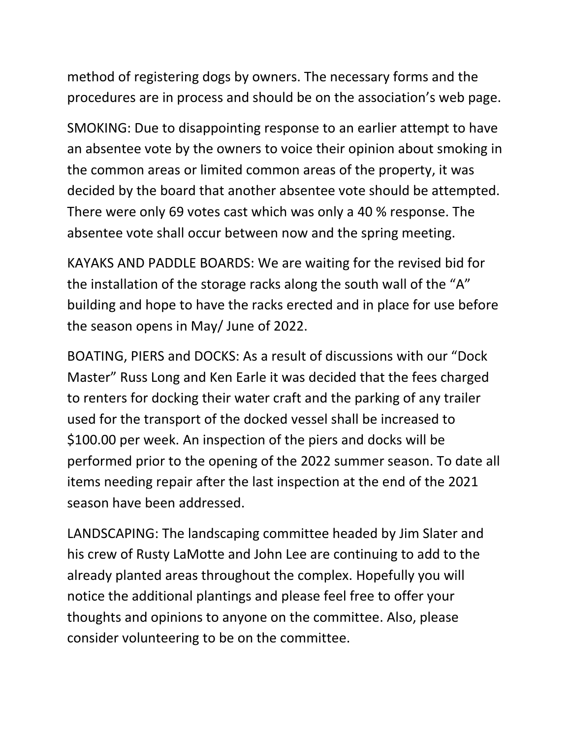method of registering dogs by owners. The necessary forms and the procedures are in process and should be on the association's web page.

SMOKING: Due to disappointing response to an earlier attempt to have an absentee vote by the owners to voice their opinion about smoking in the common areas or limited common areas of the property, it was decided by the board that another absentee vote should be attempted. There were only 69 votes cast which was only a 40 % response. The absentee vote shall occur between now and the spring meeting.

KAYAKS AND PADDLE BOARDS: We are waiting for the revised bid for the installation of the storage racks along the south wall of the "A" building and hope to have the racks erected and in place for use before the season opens in May/ June of 2022.

BOATING, PIERS and DOCKS: As a result of discussions with our "Dock Master" Russ Long and Ken Earle it was decided that the fees charged to renters for docking their water craft and the parking of any trailer used for the transport of the docked vessel shall be increased to \$100.00 per week. An inspection of the piers and docks will be performed prior to the opening of the 2022 summer season. To date all items needing repair after the last inspection at the end of the 2021 season have been addressed.

LANDSCAPING: The landscaping committee headed by Jim Slater and his crew of Rusty LaMotte and John Lee are continuing to add to the already planted areas throughout the complex. Hopefully you will notice the additional plantings and please feel free to offer your thoughts and opinions to anyone on the committee. Also, please consider volunteering to be on the committee.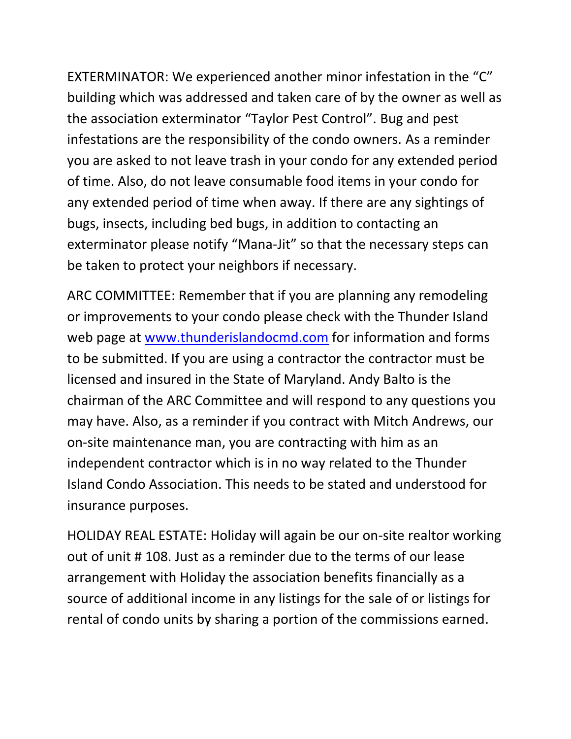EXTERMINATOR: We experienced another minor infestation in the "C" building which was addressed and taken care of by the owner as well as the association exterminator "Taylor Pest Control". Bug and pest infestations are the responsibility of the condo owners. As a reminder you are asked to not leave trash in your condo for any extended period of time. Also, do not leave consumable food items in your condo for any extended period of time when away. If there are any sightings of bugs, insects, including bed bugs, in addition to contacting an exterminator please notify "Mana-Jit" so that the necessary steps can be taken to protect your neighbors if necessary.

ARC COMMITTEE: Remember that if you are planning any remodeling or improvements to your condo please check with the Thunder Island web page at [www.thunderislandocmd.com](http://www.thunderislandocmd.com/) for information and forms to be submitted. If you are using a contractor the contractor must be licensed and insured in the State of Maryland. Andy Balto is the chairman of the ARC Committee and will respond to any questions you may have. Also, as a reminder if you contract with Mitch Andrews, our on-site maintenance man, you are contracting with him as an independent contractor which is in no way related to the Thunder Island Condo Association. This needs to be stated and understood for insurance purposes.

HOLIDAY REAL ESTATE: Holiday will again be our on-site realtor working out of unit # 108. Just as a reminder due to the terms of our lease arrangement with Holiday the association benefits financially as a source of additional income in any listings for the sale of or listings for rental of condo units by sharing a portion of the commissions earned.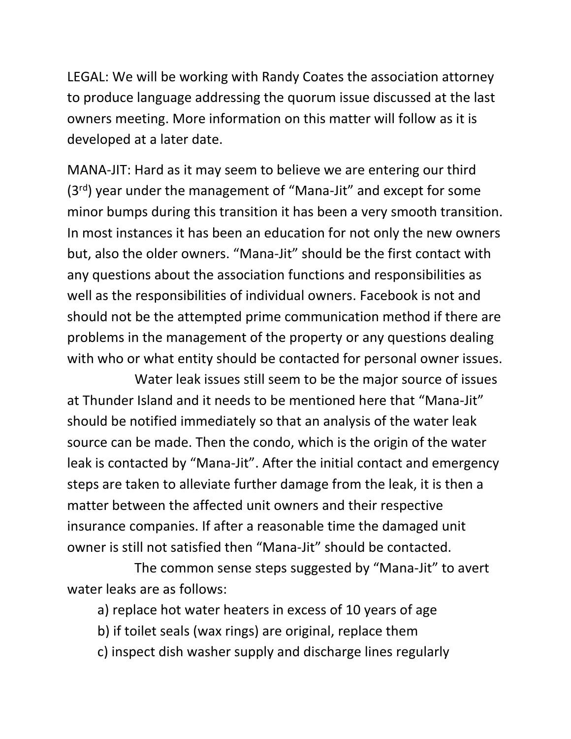LEGAL: We will be working with Randy Coates the association attorney to produce language addressing the quorum issue discussed at the last owners meeting. More information on this matter will follow as it is developed at a later date.

MANA-JIT: Hard as it may seem to believe we are entering our third (3rd) year under the management of "Mana-Jit" and except for some minor bumps during this transition it has been a very smooth transition. In most instances it has been an education for not only the new owners but, also the older owners. "Mana-Jit" should be the first contact with any questions about the association functions and responsibilities as well as the responsibilities of individual owners. Facebook is not and should not be the attempted prime communication method if there are problems in the management of the property or any questions dealing with who or what entity should be contacted for personal owner issues.

 Water leak issues still seem to be the major source of issues at Thunder Island and it needs to be mentioned here that "Mana-Jit" should be notified immediately so that an analysis of the water leak source can be made. Then the condo, which is the origin of the water leak is contacted by "Mana-Jit". After the initial contact and emergency steps are taken to alleviate further damage from the leak, it is then a matter between the affected unit owners and their respective insurance companies. If after a reasonable time the damaged unit owner is still not satisfied then "Mana-Jit" should be contacted.

 The common sense steps suggested by "Mana-Jit" to avert water leaks are as follows:

- a) replace hot water heaters in excess of 10 years of age
- b) if toilet seals (wax rings) are original, replace them
- c) inspect dish washer supply and discharge lines regularly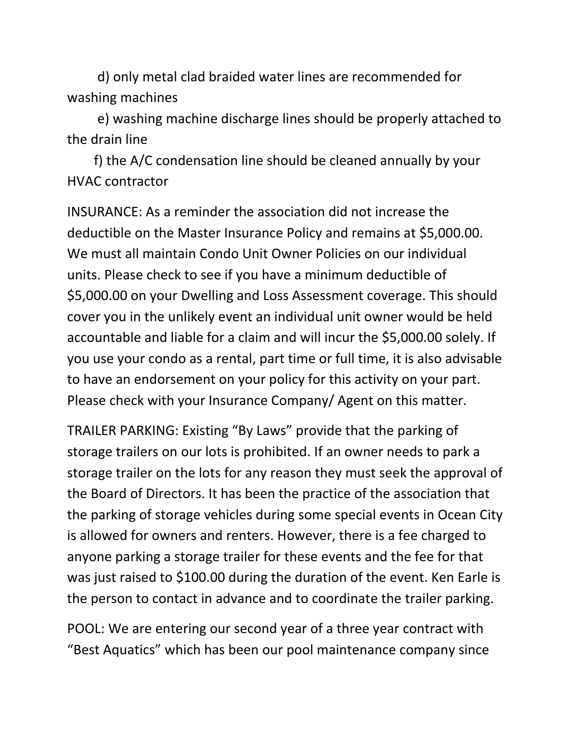d) only metal clad braided water lines are recommended for washing machines

 e) washing machine discharge lines should be properly attached to the drain line

 f) the A/C condensation line should be cleaned annually by your HVAC contractor

INSURANCE: As a reminder the association did not increase the deductible on the Master Insurance Policy and remains at \$5,000.00. We must all maintain Condo Unit Owner Policies on our individual units. Please check to see if you have a minimum deductible of \$5,000.00 on your Dwelling and Loss Assessment coverage. This should cover you in the unlikely event an individual unit owner would be held accountable and liable for a claim and will incur the \$5,000.00 solely. If you use your condo as a rental, part time or full time, it is also advisable to have an endorsement on your policy for this activity on your part. Please check with your Insurance Company/ Agent on this matter.

TRAILER PARKING: Existing "By Laws" provide that the parking of storage trailers on our lots is prohibited. If an owner needs to park a storage trailer on the lots for any reason they must seek the approval of the Board of Directors. It has been the practice of the association that the parking of storage vehicles during some special events in Ocean City is allowed for owners and renters. However, there is a fee charged to anyone parking a storage trailer for these events and the fee for that was just raised to \$100.00 during the duration of the event. Ken Earle is the person to contact in advance and to coordinate the trailer parking.

POOL: We are entering our second year of a three year contract with "Best Aquatics" which has been our pool maintenance company since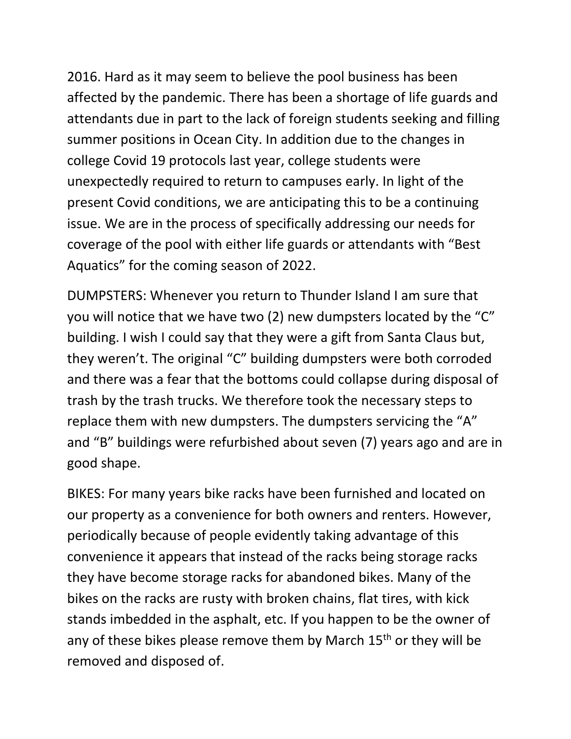2016. Hard as it may seem to believe the pool business has been affected by the pandemic. There has been a shortage of life guards and attendants due in part to the lack of foreign students seeking and filling summer positions in Ocean City. In addition due to the changes in college Covid 19 protocols last year, college students were unexpectedly required to return to campuses early. In light of the present Covid conditions, we are anticipating this to be a continuing issue. We are in the process of specifically addressing our needs for coverage of the pool with either life guards or attendants with "Best Aquatics" for the coming season of 2022.

DUMPSTERS: Whenever you return to Thunder Island I am sure that you will notice that we have two (2) new dumpsters located by the "C" building. I wish I could say that they were a gift from Santa Claus but, they weren't. The original "C" building dumpsters were both corroded and there was a fear that the bottoms could collapse during disposal of trash by the trash trucks. We therefore took the necessary steps to replace them with new dumpsters. The dumpsters servicing the "A" and "B" buildings were refurbished about seven (7) years ago and are in good shape.

BIKES: For many years bike racks have been furnished and located on our property as a convenience for both owners and renters. However, periodically because of people evidently taking advantage of this convenience it appears that instead of the racks being storage racks they have become storage racks for abandoned bikes. Many of the bikes on the racks are rusty with broken chains, flat tires, with kick stands imbedded in the asphalt, etc. If you happen to be the owner of any of these bikes please remove them by March  $15<sup>th</sup>$  or they will be removed and disposed of.